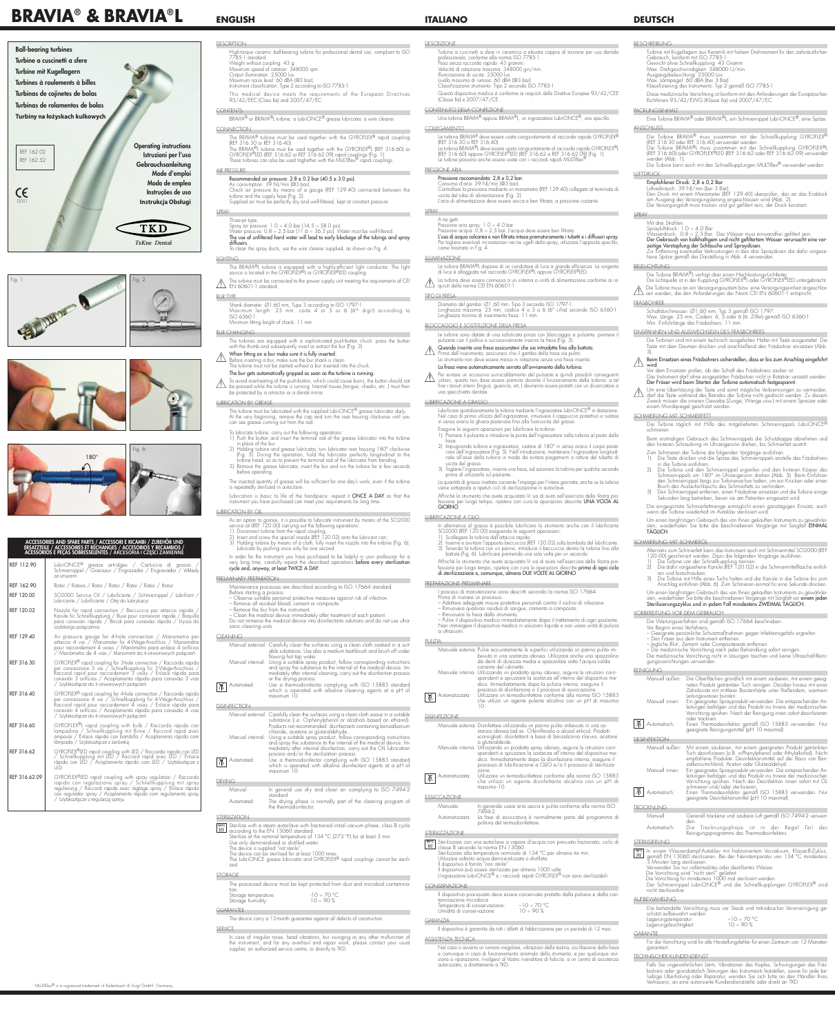**ITALIANO**

# DESCRIZIONE

 Turbina a cuscinetti a sfere in ceramica a elevata coppia di torsione per uso dentale professionale, conforme alla norma ISO 7785-1. Peso senza raccordo rapido: 43 grammi. Velocità di rotazione massima: 348000 giri/min. Illuminazione di uscita: 25000 lux. Livello massimo di rumore: 60 dBA (@3 bar). Classificazione strumento: Tipo 2 secondo ISO 7785-1.

 Questo dispositivo medico è conforme ai requisiti delle Direttive Europee 93/42/CEE (Classe IIa) e 2007/47/CE.

Consumo d'aria: 39 Nl/min (@3 bar). Controllare la pressione mediante un manometro (REF 129.40) collegato al terminale di uscita del tubo di alimentazione (Fig. 2). L'aria di alimentazione deve essere secca e ben filtrata, a pressione costante.

#### **SPRAY**

#### CONTENUTO DELLA CONFEZIONE

Una turbina BRAVIA® oppure BRAVIA®L, un ingrassatore LubriONCE®, uno specillo.

#### COLLEGAMENTO

La turbina BRAVIA® deve essere usata congiuntamente al raccordo rapido GYROFLEX®<br>(REF 316.30 o REF 316.40). (REF 316.30 o REF 316.40).<br>La turbina BRAVIA®L deve essere usata congiuntamente al raccordo rapido GYROFLEX®L (REF 316.60) oppure GYROFLEX®LED (REF 316.62 o REF 316.62.09) (Fig. 1). Le turbine possono anche essere usate con i raccordi rapidi MULTIflex®

 A tre getti Pressione aria spray: 1.0 ÷ 4.0 bar.

La turbina BRAVIA®L dispone di un conduttore di luce a grande efficienza. La sorgente di luce è alloggiata nel raccordo GYROFLEX®L oppure GYROFLEX®LED.

#### PRESSIONE ARIA

# Pressione raccomandata: 2,8 ± 0,2 bar.

Diametro del gambo: Ø1,60 mm, Tipo 3 secondo ISO 1797-1. Lunghezza massima: 25 mm, codice 4 o 5 o 6 (6° cifra) secondo ISO 6360-1. Lunghezza minima di inserimento fresa: 11 mm.

 $\triangle$  Per evitare un eccessivo surriscaldamento del pulsante e quindi possibili conseguentialità della turbina: a tal ustioni, questo non deve essere premuto durante il funzionamento della turbina: a tal fine i tessuti interni (lingua, guancia, etc.) dovranno essere protetti con un divaricatore o uno specchietto dentale.

 Pressione acqua: 0,8 ÷ 2,5 bar. L'acqua deve essere ben filtrata. L'uso di acqua calcarea e non filtrata intasa prematuramente i tubetti e i diffusori spray. Per togliere eventuali incrostazioni nei tre ugelli dello spray, utilizzare l'apposito specillo, come mostrato in Fig. 4.

#### ILLUMINAZIONE

 La turbina deve essere connessa a un sistema o unità di alimentazione conforme ai requisiti della norma CEI EN 60601-1 .

#### TIPO DI FRESA

- Lubrificare quotidianamente la turbina mediante l'ingrassatore LubriONCE® in dotazione. Nel caso di primo utilizzo dell'ingrassatore, rimuovere il cappuccio protettivo e ruotare in senso orario la ghiera posteriore fino alla fuoriuscita del grasso.
	- Eseguire le seguenti operazioni per lubrificare la turbina:
- 1) Premere il pulsante e introdurre la punta dell'ingrassatore nella turbina al posto della fresa.
- 2) Impugnando turbina e ingrassatore, ruotare di 180° in senso orario il corpo posteriore dell'ingrassatore (Fig. 5). Nell'introduzione, mantenere l'ingrassatore longitudinale all'asse della turbina in modo da evitare piegamenti o rotture del tubetto di uscita del grasso.
	- 3) Togliere l'ingrassatore, inserire una fresa, ed azionare la turbina per qualche secondo
- prima di utilizzarla sul paziente. La quantità di grasso iniettata consente l'impiego per l'intera giornata, anche se la turbina
	- viene sottoposta a ripetuti cicli di sterilizzazione in autoclave. Affinché lo strumento che avete acquistato Vi sia di aiuto nell'esercizio della Vostra pro-
- ssione per lungo tempo, ripetere con cura le operazioni descritte UNA VOLTA AL GIORNO.

#### BLOCCAGGIO E SOSTITUZIONE DELLA FRESA

 Le turbine sono dotate di una sofisticata pinza con bloccaggio a pulsante: premere il pulsante con il pollice e successivamente inserire la fresa (Fig. 3).

 Quando inserite una fresa assicuratevi che sia introdotta fino alla battuta. Prima dell'inserimento, assicurarsi che il gambo della fresa sia pulito. Lo strumento non deve essere messo in rotazione senza una fresa inserita.

# La fresa viene automaticamente serrata all'avviamento della turbina.

#### LUBRIFICAZIONE A GRASSO

Sterilizzare con una autoclave a vapore d'acqua con prevuoto frazionato, ciclo di **CONTRACTE CONTRACTE CON DIRECTE LA 13060.** Sterilizzare alla temperatura nominale di 134 °C per almeno tre min. Utilizzare soltanto acqua demineralizzata o distillata. Il dispositivo è fornito "non sterile". Il dispositivo può essere sterilizzato per almeno 1000 volte. L'ingrassatore LubriONCE® e i raccordi rapidi GYROFLEX® non sono sterilizzabili.

Il dispositivo processato deve essere conservato protetto dalla polvere e dalla contaminazione microbica. Temperatura di conservazione: –10 ÷ 70 °C Umidità di conservazione:

## LUBRIFICAZIONE A OLIO

**DESCRIPTION** High-torque ceramic ball-bearing turbine for professional dental use, compliant to ISO 7785-1 standard. Weight without coupling: 43 g. Maximum speed of rotation: 348000 rpm. Output illumination: 25000 lux. Maximum noise level: 60 dBA (@3 bar). Instrument classification: Type 2 according to ISO 7785-1.

This medical device meets the requirements of the European Directives 93/42/EEC (Class IIa) and 2007/47/EC.

- In alternativa al grasso è possibile lubrificare lo strumento anche con il lubrificante SO2000 (REF 120.00) eseguendo le seguenti operazioni: Scollegare la turbina dall'attacco rapido.
- 2) Inserire e avvitare l'apposito beccuccio (REF 120.02) sulla bombola del lubrificante.
- 3) Tenendo la turbina con un panno, introdurre il beccuccio dentro la turbina fino alla battuta (Fig. 6). Lubrificare premendo una sola volta per un secondo.

 Affinché lo strumento che avete acquistato Vi sia di aiuto nell'esercizio della Vostra protessione per lungo tempo, ripetere con cura le operazioni descritte **prima di ogni ciclo** di sterilizzazione e, comunque, almeno DUE VOLTE AL GIORNO.

The turbine must be connected to the power supply unit meeting the requirements of CEI  $\angle$  EN 60601-1 standard.

#### PREPARAZIONE PRELIMINARE

I processi di manutenzione sono descritti secondo la norma ISO 17664.

Shank diameter: Ø1.60 mm, lype 3 according to ISO 1797-1.<br>Maximum length: 25 mm, code 4 or 5 or 6 (6<sup>th</sup> digit) according to ISO 6360-1. Minimum fitting lenght of shank: 11 mm.

#### When fitting on a bur make sure it is fully inserted.  $\bigwedge$

Before inserting a bur, make sure the bur shank is clean. The turbine must not be started without a bur inserted into the chuck

- Prima di iniziare un processo:
- Adottare adeguate misure protettive personali contro il rischio di infezione.
- Rimuovere qualsiasi residuo di sangue, cemento o composito.
- Rimuovere la fresa dallo strumento.
- Pulire il dispositivo medico immediatamente dopo il trattamento di ogni paziente. Non immergere il dispositivo medico in soluzioni liquide e non usare unità di pulizia a ultrasuoni.

#### PULIZIA

- Manuale esterna: Pulire accuratamente le superfici utilizzando un panno pulito imbevuto in una sostanza idonea. Utilizzare anche uno spazzolino da denti di durezza media e spazzolare sotto l'acqua calda corrente del rubinetto. Manuale interna: Utilizzando un prodotto spray idoneo, seguire le istruzioni corri-
- spondenti e spruzzare la sostanza all'interno del dispositivo medico. Immediatamente dopo la pulizia interna, eseguire il processo di disinfezione o il processo di essiccazione.
- Automatizzata: Utilizzare un termodisinfettore conforme alla norma ISO 15883 che utilizzi un agente pulente alcalino con un pH di massimo 10.

# DISINFEZIONE

 $|\,\overline{\pi}|$ 

- Manuale esterna: Disinfettare utilizzando un panno pulito imbevuto in una sostanza idonea (ad es. O-fenilfenolo o alcool etilico). Prodotti sconsigliati: disinfettanti a base di benzalconio cloruro, acetone o glutaraldeide.
- Manuale interna: Utilizzando un prodotto spray idoneo, seguire le istruzioni corrispondenti e spruzzare la sostanza all'interno del dispositivo medico. Immediatamente dopo la disinfezione interna, eseguire il processo di lubrificazione a OLIO e/o il processo di sterilizzazione.
- $\boxed{\overline{M}}$  Automatizzata: Utilizzare un termodisinfettore conforme alla norma ISO 15883 che utilizzi un agente disinfettante alcalino con un pH di massimo 10.

#### ESSICCAZIONE

- Manual external: Carefully clean the surfaces using a clean cloth soaked in a suitable substance. Use also a medium toothbrush and brush off under flowing hot tap water.
- Manual internal: Using a suitable spray product, follow corresponding instructions and spray the substance to the internal of the medical device. Immediately after internal cleaning, carry out the disinfection process or the drying process.
- Automated: Use a thermodisinfector complying with ISO 15883 standard which is operated with alkaline cleaning agents at a pH of maximum 10.

#### **ISINFECTION**

Manuale: In generale usare aria secca e pulita conforme alla norma ISO 7494-2. Automatizzata: La fase di essiccatura è normalmente parte del programma di pulitura del termodisinfettore.

#### STERILIZZAZIONE

- 134°C Sterilize with a steam autoclave with fractioned initial vacuum phase, class B cycle **335** according to the EN 13060 standard.
- Sterilize at the nominal temperature of 134 °C (273 °F) for at least 3 min.
- Use only demineralised or distilled water.
- The device is supplied "not sterile".
- The device can be sterilised for at least 1000 times. The LubriONCE grease lubricator and GYROFLEX® rapid couplings cannot be sterili-
- zed.

#### CONSERVAZIONE

#### GARANZIA

Il dispositivo è garantito da tutti i difetti di fabbricazione per un periodo di 12 mesi.

#### ASSISTENZA TECNICA

 Nel caso si avverta un rumore irregolare, vibrazioni della testina, oscillazione della fresa e comunque in caso di funzionamento anomalo dello strumento, e per qualunque revisione o riparazione, rivolgersi al Vostro rivenditore di fiducia, a un centro di assistenza autorizzato, o direttamente a TKD.

#### CONTENTS BRAVIA® or BRAVIA®L turbine, a LubriONCE® grease lubricator, a wire cleaner.

#### **CONNECTION**

The BRAVIA® turbine must be used together with the GYROFLEX® rapid coupling (REF 316.30 or REF 316.40). The BRAVIA®L turbine must be used together with the GYROFLEX®L (REF 316.60) or GYROFLEX®LED (REF 316.62 or REF 316.62.09) rapid couplings (Fig. 1).

#### These turbines can also be used toghether with the MULTIflex® rapid couplings. AIR PRESSURE

#### Recommended air pressure:  $2.8 \pm 0.2$  bar (40.5  $\pm$  3.0 psi).

Air consumption: 39 Nl/min (@3 bar). Check air pressure by means of a gauge (REF 129.40) connected between the turbine and the supply hose (Fig. 2).

Supplied air must be perfectly dry and well-filtered, kept at constant pressure.

#### SPRAY Three-jet type.

Spray air pressure: 1.0 ÷ 4.0 bar (14.5 ÷ 58.0 psi). Water pressure: 0,8 ÷ 2,5 bar (11.6 ÷ 36.3 psi). Water must be well-filtered. The use of unfiltered hard water will lead to early blockage of the tubings and spray diffusers.

To clean the spray ducts, use the wire cleaner supplied, as shown on Fig. 4.

# **LIGHTING**

The BRAVIA®L turbine is equipped with a highly-efficient light conductor. The light source is located in the GYROFLEX®L or GYROFLEX®LED coupling.

# BUR TYPE

# BUR CHANGING

The turbines are equipped with a sophisticated push-button chuck: press the button with the thumb and subsequently insert or extract the bur (Fig. 3).

#### The bur gets automatically gripped as soon as the turbine is running.

To avoid overheating of the push-button, which could cause burns, the button should not be pressed while the turbine is running. Internal tissues (tongue, cheeks, etc..) must then be protected by a retractor or a dental mirror.

#### LUBRICATION BY GREASE

The turbine must be lubricated with the supplied LubriONCE® grease lubricator daily. At the very beginning, remove the cap and turn the rear housing clockwise until you can see grease coming out from the rod.

> Um einen langfristigen Gebrauch des von Ihnen gekauften Instruments zu gewährleiwiederholen Sie bitte die beschriebenen Vorgänge mit Sorgfalt EINMAL

- To lubricate turbine, carry out the following operations:
- 1) Push the button and insert the terminal rod of the grease lubricator into the turbine in place of the bur.
- 2) Holding turbine and grease lubricator, turn lubricator rear housing 180° clockwise (Fig. 5). During the operation, hold the lubricator perfectly longitudinal to the turbine head, so as to prevent the terminal rod of the lubricator from bending.
- 3) Remove the grease lubricator, insert the bur and run the turbine for a few seconds before operating.
- The injected quantity of grease will be sufficient for one day's work, even if the turbine is repeatedly sterilized in autoclave.
- Lubrication is basic to life of the handpiece: repeat it ONCE A DAY so that the instrument you have purchased can meet your requirements for long time.

#### LUBRICATION BY OIL

- As an option to grease, it is possible to lubricate instrument by means of the SO2000 service oil (REF 120.00) carrying out the following operations:
- 1) Disconnect turbine from the rapid coupling;
- 2) Insert and screw the special nozzle (REF 120.02) onto the lubricant can; Holding turbine by means of a cloth, fully insert the nozzle into the turbine (Fig. 6). Lubricate by pushing once only for one second.

In order for the instrument you have purchased to be helpful in your profession for a very long time, caretully repeat the described operations **betore every sterilization** cycle and, anyway, at least TWICE A DAY.

#### PRELIMINARY PREPARATION

- Manuell außen: Mit einem sauberen, mit einem geeigneten Produkt getränkter Tuch desinfizieren (z.B. o-Phenylphenol oder Äthylalkohol). Nicht empfohlene Produkte: Desinfektionsmittel auf der Basis von Benzalkoniumchlorid, Aceton oder Glutaraldehyd. Manuell innen: Ein geeignetes Sprayprodukt verwenden. Die entsprechenden An
	- leitungen befolgen und das Produkt ins Innere der medizinischen Vorrichtung sprühen. Nach der Desinfektion innen sofort mit ÖL schmieren und/oder sterilisieren.
- Automatisch: Einen Thermodesinfektor gemäß ISO 15883 verwenden. Nur geeignete Desinfektionsmittel (pH 10 maximal).

Maintenance processes are described according to ISO 17664 standard. Before starting a process:

#### – Observe suitable personal protective measures against risk of infection. – Remove all residual blood, cement or composite. – Remove the bur from the instrument. – Clean the medical device immediately after treatment of each patient.

Die behandelte Vorrichtung muss vor Staub und mikrobischer Verunreinigung geschützt aufbewahrt werden. Lagerungstemperatur: –10 ÷ 70 °C<br>Lagerungsfeuchtigkeit: –10 ÷ 90 % Lagerungsfeuchtigkeit:

Do not immerse the medical device into disinfectants solutions and do not use ultrasonic cleaning units.

#### **CLEANING**

- Manual external: Carefully clean the surfaces using a clean cloth soave in a suitable substance (i.e. O-phenylphenol or alcohols based on ethanol). Products not recommended: disinfectants containing benzalkonium chloride, acetone or glutaraldehyde.
- Manual internal: Using a suitable spray product, follow corresponding instructions and spray the substance to the internal of the medical device. Immediately after internal disinfection, carry out the OIL lubrication process and/or the sterilization process.
- Automated: Use a thermodisinfector complying with ISO 15883 standard which is operated with alkaline disinfectant agents at a pH of maximum 10.

### DRYING

- Manual: In general use dry and clean air complying to ISO 7494-2 standard. Automated: The drying phase is normally part of the cleaning program of
- the thermodisinfector.

#### **STERILIZATION**

#### STORAGE

|                      | The processed device must be kept protected from dust and microbial contamina- |
|----------------------|--------------------------------------------------------------------------------|
| tion.                |                                                                                |
| Storage temperature: | $-10 - 70$ °C.                                                                 |
| Storage humidity:    | $10 - 90 %$                                                                    |

#### GUARANTEE

The device carry a 12-month guarantee against all defects of construction.

#### SERVICE

In case of irregular noise, head vibrations, bur swinging or any other mulfunction of the instrument, and for any overhaul and repair work, please contact your usual supplier, an authorized service centre, or directly to TKD.

# **ENGLISH**

# **BRAVIA® & BRAVIA® L**





# **Ball-bearing turbines Turbine a cuscinetti a sfere Turbine mit Kugellagern Turbines à roulements à billes Turbinas de cojinetes de bolas**

**Turbinas de rolamentos de bolas Turbiny na łożyskach kulkowych**





| ACCESSORIES AND SPARE PARTS / ACCESSORI E RICAMBI / ZUBEHÖR UND<br>ERSATZTEILE / ACCESSOIRES ET RÉCHANGES / ACCESORIOS Y RECAMBIOS /<br>ACESSÓRIOS E PEÇAS SOBRESSELENTES / AKCESORIA I CZĘŚCI ZAMIENNE |                                                                                                                                  |
|---------------------------------------------------------------------------------------------------------------------------------------------------------------------------------------------------------|----------------------------------------------------------------------------------------------------------------------------------|
| REF 112.90                                                                                                                                                                                              | LubriONCE® grease artridges / Cartuccie di grasso /<br>Schmiernippel / Graisseur / Engrasador / Engraxador / Wkłady<br>ze smarem |
| REF 162.90                                                                                                                                                                                              | Rotor / Rotore / Rotor / Rotor / Rotor / Rotor / Rotor                                                                           |
| REF 120.00                                                                                                                                                                                              | SO2000 Service Oil / Lubrificante / Schmiernippel / Lubrifiant / Lubricante / Lubrificante / Olej do Iubrykacyi                  |

|               | LODITUATIIC / LODITIIUATIIC / UICI UU IUDI YKAUYI                                                                                                                                                                                                                                                                          |   |
|---------------|----------------------------------------------------------------------------------------------------------------------------------------------------------------------------------------------------------------------------------------------------------------------------------------------------------------------------|---|
| REF 120.02    | Nozzle for rapid connection / Beccuccio per attacco rapido<br>Kanüle für Schnellkupplung / Buse pour connexion rapide / Boquilla<br>para conexión rápida / Bocal para conexão rápida / Dysza do<br>szybkiego połaczenia                                                                                                    |   |
| REF 129.40    | Air pressure gauge for 4-hole connection / Manometro per<br>attacco 4 vie / Manometer für 4-Wege-Anschluss / Manomètre<br>pour raccordement 4 voies / Manómetro para enlace 4 orifícios<br>/ Manómetro de 4 vias / Manometr do 4-otworowych połączeń                                                                       | C |
| REF 316.30    | GYROFLEX <sup>®</sup> rapid coupling for 3-hole connection / Raccordo rapido<br>per connessione 3 vie / Schnellkupplung für 3-Wege-Anschluss /<br>Raccord rapid pour raccordement 3 voies / Enlace rápido para<br>conexión 3 orifícios / Acoplamento rápido para conexão 3 vias<br>/ Szybkozłącze do 3-otworowych połączeń |   |
| REF 316.40    | GYROFLEX <sup>®</sup> rapid coupling for 4-hole connection / Raccordo rapido<br>per connessione 4 vie / Schnellkupplung für 4-Wege-Anschluss /<br>Raccord rapid pour raccordement 4 voies / Enlace rápido para<br>conexión 4 orifícios / Acoplamento rápido para conexão 4 vias<br>/ Szybkozłącze do 4-otworowych połączeń |   |
| REF 316.60    | GYROFLEX <sup>®</sup> L rapid coupling with bulb / Raccordo rapido con<br>lampadina / Schnellkupplung mit Birne / Raccord rapid avec<br>ampoule / Enlace rápido con bombilla / Acoplamento rápido com<br>lâmpada / Szybkozłącze z żarówką                                                                                  |   |
| REF 316.62    | GYROFLEX®LED rapid coupling with LED / Raccordo rapido con LED<br>/ Schnellkupplung mit LED / Raccord rapid_avec LED / Enlace<br>rápido con LED / Acoplamento rápido com LED / Szybkozłącze z<br>I FD                                                                                                                      |   |
| REF 316.62.09 | GYROFLEX®LED rapid coupling with spray regulation / Raccordo<br>rapido con regolazione spray / Schnellkupplung mit spray<br>regulierung / Raccord rapide avec réglage spray / Enlace rápido<br>con regulador spray / Acoplamento rápido com regulamento spray<br>/ Szybkozłącze z regulacją spreju                         | C |

# **DEUTSCH**

#### BESCHREIBUNG

Turbine mit Kugellagern aus Keramik mit hohem Drehmoment für den zahnärztlichen Gebrauch, konform mit ISO 7785-1. Gewicht ohne Schnellkupplung: 43 Gramm Max. Drehgeschwindigkeit: 348000 U/min Ausgangsbeleuchtung: 25000 Lux Max. Lärmpegel: 60 dBA (bei 3 Bar) Klassifizierung des Instruments: Typ 2 gemäß ISO 7785-1

Diese medizinische Vorrichtung ist konform mit den Anforderungen der Europäischen Richtlinien 93/42/EWG (Klasse IIa) und 2007/47/EC.

#### PACKUNGSINHALT

Eine Turbine BRAVIA® oder BRAVIA®L, ein Schmiernippel LubriONCE®, eine Spitze.

#### ANSCHLUSS

Die Turbine BRAVIA® muss zusammen mit der Schnellkupplung GYROFLEX® (REF 316.30 oder REF 316.40) verwendet werden. Die Turbine BRAVIA®L muss zusammen mit der Schnellkupplung GYROFLEX®L

(REF 316.60) oder GYROFLEX®LED (REF 316.62 oder REF 316.62.09) verwendet werden (Abb. 1). Die Turbine kann auch mit den Schnellkupplungen MULTIflex® verwendet werden.

LUFTDRUCK

#### Empfohlener Druck: 2,8 ± 0,2 Bar

Luftverbrauch: 39 Nl/min (bei 3 Bar) Den Druck mit einem Manometer (REF 129.40) überprüfen, das an das Endstück am Ausgang der Versorgungsleitung angeschlossen wird (Abb. 2). Die Versorgungsluft muss trocken und gut gefiltert sein, der Druck konstant.

# SPRAY

#### Mit drei Strahlen. Sprayluftdruck: 1,0 ÷ 4,0 Bar

Wasserdruck: 0,8 ÷ 2,5 Bar. Das Wasser muss einwandfrei gefiltert sein. Der Gebrauch von kalkhaltigem und nicht gefiltertem Wasser verursacht eine vor-

zeitige Verstopfung der Schläuche und Spraydüsen.

Zur Entfernung eventueller Verkrustungen in den drei Spraydüsen die dafür vorgese-

hene Spitze gemäß der Darstellung in Abb. 4 verwenden.

BELEUCHTUNG

Die Lichtquelle ist in der Kupplung GYROFLEX®L oder GYROFLEX®LED untergebracht. Die Turbine muss an ein Versorgungssystem bzw. eine Versorgungseinheit angeschlos-

sen werden, die den Anforderungen der Norm CEI EN 60601-1 entspricht.

FRÄSBOHRER

Schaftdurchmesser: Ø1,60 mm, Typ 3 gemäß ISO 1797.

Max. Länge: 25 mm, Codenr. 4, 5 oder 6 (6. Ziffer) gemäß ISO 6360-1.

Min. Einführlänge des Fräsbohrers: 11 mm EINSPANNEN UND AUSWECHSELN DES FRÄSBOHRERS

Die Turbinen sind mit einem technisch ausgefeilten Halter mit Taste ausgestattet: Die Taste mit dem Daumen drücken und anschließend den Fräsbohrer einsetzen (Abb.

3).

 $\sqrt{N}$  beim

Beim Einsetzen eines Fräsbohrers sicherstellen, dass er bis zum Anschlag eingeführt

Vor dem Einsetzen prüfen, ob der Schaft des Fräsbohrers sauber ist.

Das Instrument darf ohne eingesetzten Fräsbohrer nicht in Rotation versetzt werden.

Der Fräser wird beim Starten der Turbine automatisch festgespannt.

Um eine Überhitzung der Taste und somit mögliche Verbrennungen zu vermeiden, darf die Taste während des Betriebs der Turbine nicht gedrückt werden: Zu diesem<br>Darf die Taste während des Betriebs der Turbine nicht gedrückt werden: Zu diesem Zweck müssen die inneren Gewebe (Zunge, Wange usw.) mit einem Spreizer oder

einem Mundspiegel geschützt werden.

SCHMIERUNG MIT SCHMIERFETT

Die Turbine täglich mit Hilfe des mitgelieferten Schmiernippels LubriONCE®

schmieren.

TÄGLICH.

SCHMIERUNG MIT SCHMIERÖL

Die Turbine BRAVIA®L verfügt über einen Hochleistungs-Lichtleite

Beim erstmaligen Gebrauch des Schmiernippels die Schutzkappe abnehmen und den hinteren Schraubring im Uhrzeigersinn drehen, bis Schmierfett austritt.

Zum Schmieren der Turbine die folgenden Vorgänge ausführen:

1) Die Taste drücken und die Spitze des Schmiernippels anstelle des Fräsbohrers

in die Turbine einführen.

2) Die Turbine und den Schmiernippel ergreifen und den hinteren Körper des Schmiernippels um 180° im Uhrzeigersinn drehen (Abb. 5). Beim Einführen den Schmiernippel längs zur Turbinenachse halten, um ein Knicken oder einen

Bruch des Auslaufschlauchs des Schmierfetts zu verhindern.

3) Den Schmiernippel entfernen, einen Fräsbohrer einsetzen und die Turbine einige Sekunden lang betreiben, bevor sie am Patienten eingesetzt wird. Die eingespritzte Schmierfettmenge ermöglicht einen ganztägigen Einsatz, auch

wenn die Turbine wiederholt im Autoklav sterilisiert wird.

Alternativ zum Schmierfett kann das Instrument auch mit Schmiermittel SO2000 (REF

120.00) geschmiert werden. Dazu die folgenden Vorgänge ausführen:

1) Die Turbine von der Schnellkupplung trennen.

2) Die dafür vorgesehene Kanüle (REF 120.02) in die Schmiermittelflasche einfüh-

ren und festschrauben.

3) Die Turbine mit Hilfe eines Tuchs halten und die Kanüle in die Turbine bis zum Anschlag einführen (Abb. 6). Zum Schmieren einmal für eine Sekunde drücken.

#### Um einen langfristigen Gebrauch des von Ihnen gekauften Instruments zu gewährleisten, wiederholen Sie bitte die beschriebenen Vorgänge mit Sorgtalt vor **einem jeden** Sterilisierungszyklus und in jedem Fall mindestens ZWEIMAL TÄGLICH.

#### VORBEREITUNG VOR DEM GEBRAUCH

- Die Wartungsverfahren sind gemäß ISO 17664 beschrieben.
- Vor Beginn eines Verfahrens:
- Geeignete persönliche Schutzmaßnahmen gegen Infektionsgefahr ergreifen. – Den Fräser aus dem Instrument entfernen.
- Jegliche Blut-, Zement- oder Compositereste entfernen.
- Die medizinische Vorrichtung nach jeder Behandlung sofort reinige Die medizinische Vorrichtung nicht in Lösungen tauchen und keine Ultraschall-Reinigungsvorrichtungen verwenden.

#### REINIGUNG

- Manuell außen: Die Oberflächen gründlich mit einem sauberen, mit einem geeigneten Produkt getränkten Tuch reinigen. Darüber hinaus mit einer Zahnbürste mit mittlerer Borstenhärte unter fließendem, warmem Leitungswasser bürsten. Manuell innen: Ein geeignetes Sprayprodukt verwenden. Die entsprechenden An-
- leitungen befolgen und das Produkt ins Innere der medizinischen Vorrichtung sprühen. Nach der Reinigung innen sofort desinfizieren oder trocknen.
- Automatisch: Einen Thermodesinfektor gemäß ISO 15883 verwenden. Nur geeignete Reinigungsmittel (pH 10 maximal).

#### DESINFEKTION

#### TROCKNUNG

- Manuell: Generell trockene und saubere Luft gemäß ISO 7494-2 verwenden.
- Automatisch: Die Trocknungsphase ist in der Regel Teil des Reinigungsprogramms des Thermodesinfektors.

#### STERILISIERUNG

- In einem Wasserdampf-Autoklav mit fraktioniertem Vorvakuum, Klasse-B-Zyklus, gemäß EN 13060 sterilisieren. Bei der Nenntemperatur von 134 °C mindestens 3 Minuten lang sterilisieren. Verwenden Sie nur vollentsalztes oder destilliertes Wasser. Die Vorrichtung wird "nicht steril" geliefert. Die Vorrichtung für mindestens 1000 mal sterilisiert werden. Der Schmiernippel LubriONCE® und die Schnellkupplungen GYROFLEX® sind
	- nicht sterilisierbar.

#### AUFBEWAHRUNG

### GARANTIE

Für die Vorrichtung wird für alle Herstellungsfehler für einen Zeitraum von 12 Monaten garantiert.

#### TECHNISCHER KUNDENDIENST

Falls Sie ungewöhnlichen Lärm, Vibrationen des Kopfes, Schwingungen des Fräsbohrers oder grundsätzlich Störungen des Instruments feststellen, sowie für jede beliebige Überholung oder Reparatur, wenden Sie sich bitte an den Händler Ihres Vertrauens, an eine autorisierte Kundendienststelle oder direkt an TKD.